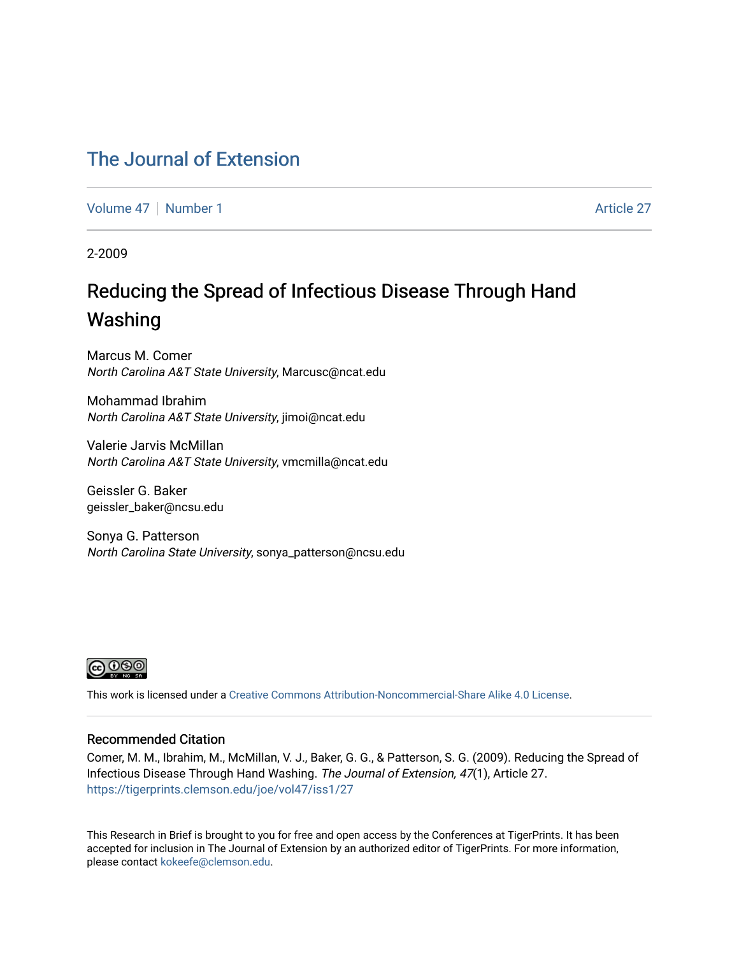### [The Journal of Extension](https://tigerprints.clemson.edu/joe)

[Volume 47](https://tigerprints.clemson.edu/joe/vol47) | [Number 1](https://tigerprints.clemson.edu/joe/vol47/iss1) [Article 27](https://tigerprints.clemson.edu/joe/vol47/iss1/27) | Article 27 | Article 27 | Article 27 | Article 27 | Article 27 | Article 27

2-2009

## Reducing the Spread of Infectious Disease Through Hand Washing

Marcus M. Comer North Carolina A&T State University, Marcusc@ncat.edu

Mohammad Ibrahim North Carolina A&T State University, jimoi@ncat.edu

Valerie Jarvis McMillan North Carolina A&T State University, vmcmilla@ncat.edu

Geissler G. Baker geissler\_baker@ncsu.edu

Sonya G. Patterson North Carolina State University, sonya\_patterson@ncsu.edu



This work is licensed under a [Creative Commons Attribution-Noncommercial-Share Alike 4.0 License.](https://creativecommons.org/licenses/by-nc-sa/4.0/)

#### Recommended Citation

Comer, M. M., Ibrahim, M., McMillan, V. J., Baker, G. G., & Patterson, S. G. (2009). Reducing the Spread of Infectious Disease Through Hand Washing. The Journal of Extension, 47(1), Article 27. <https://tigerprints.clemson.edu/joe/vol47/iss1/27>

This Research in Brief is brought to you for free and open access by the Conferences at TigerPrints. It has been accepted for inclusion in The Journal of Extension by an authorized editor of TigerPrints. For more information, please contact [kokeefe@clemson.edu](mailto:kokeefe@clemson.edu).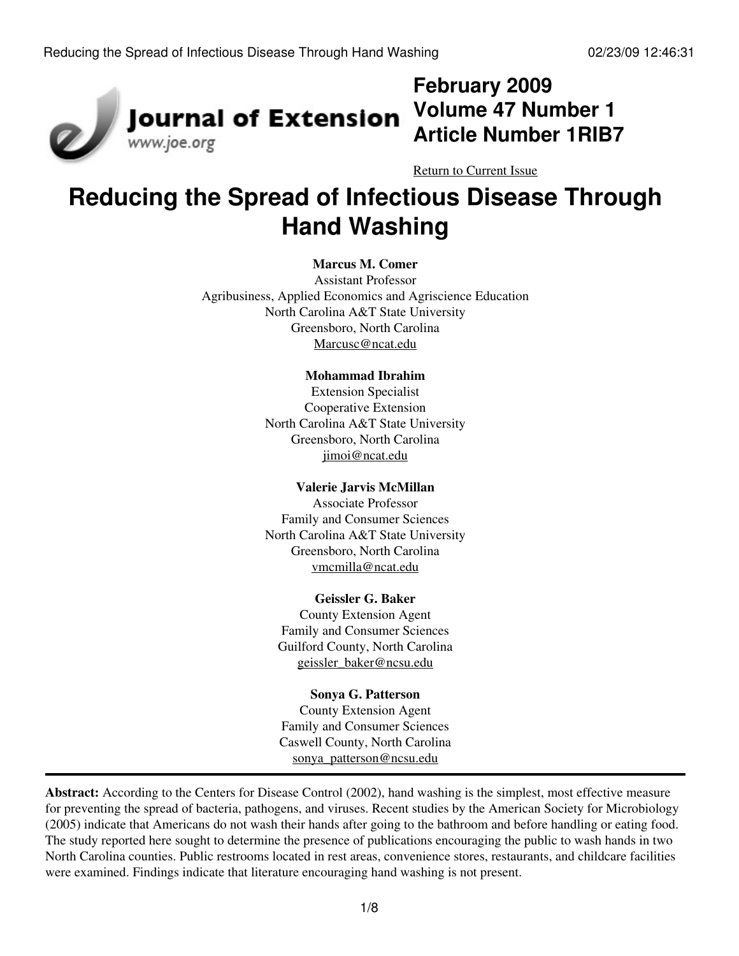

## **February 2009 Volume 47 Number 1 Article Number 1RIB7**

[Return to Current Issue](http://www.joe.org:80/joe/2009february/)

# **Reducing the Spread of Infectious Disease Through Hand Washing**

#### **Marcus M. Comer**

Assistant Professor Agribusiness, Applied Economics and Agriscience Education North Carolina A&T State University Greensboro, North Carolina [Marcusc@ncat.edu](mailto:Marcusc@ncat.edu)

#### **Mohammad Ibrahim**

Extension Specialist Cooperative Extension North Carolina A&T State University Greensboro, North Carolina [jimoi@ncat.edu](mailto:jimoi@ncat.edu)

#### **Valerie Jarvis McMillan**

Associate Professor Family and Consumer Sciences North Carolina A&T State University Greensboro, North Carolina [vmcmilla@ncat.edu](mailto:vmcmilla@ncat.edu)

**Geissler G. Baker** County Extension Agent Family and Consumer Sciences Guilford County, North Carolina [geissler\\_baker@ncsu.edu](mailto:geissler_baker@ncsu.edu)

#### **Sonya G. Patterson**

County Extension Agent Family and Consumer Sciences Caswell County, North Carolina [sonya\\_patterson@ncsu.edu](mailto:sonya_patterson@ncsu.edu)

**Abstract:** According to the Centers for Disease Control (2002), hand washing is the simplest, most effective measure for preventing the spread of bacteria, pathogens, and viruses. Recent studies by the American Society for Microbiology (2005) indicate that Americans do not wash their hands after going to the bathroom and before handling or eating food. The study reported here sought to determine the presence of publications encouraging the public to wash hands in two North Carolina counties. Public restrooms located in rest areas, convenience stores, restaurants, and childcare facilities were examined. Findings indicate that literature encouraging hand washing is not present.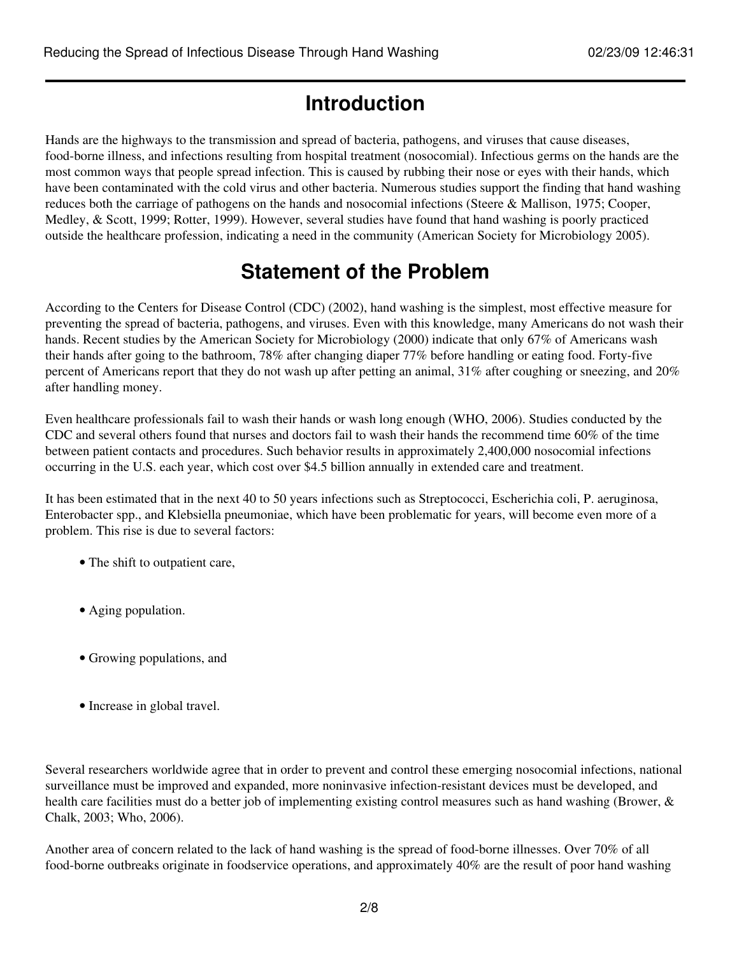## **Introduction**

Hands are the highways to the transmission and spread of bacteria, pathogens, and viruses that cause diseases, food-borne illness, and infections resulting from hospital treatment (nosocomial). Infectious germs on the hands are the most common ways that people spread infection. This is caused by rubbing their nose or eyes with their hands, which have been contaminated with the cold virus and other bacteria. Numerous studies support the finding that hand washing reduces both the carriage of pathogens on the hands and nosocomial infections (Steere & Mallison, 1975; Cooper, Medley, & Scott, 1999; Rotter, 1999). However, several studies have found that hand washing is poorly practiced outside the healthcare profession, indicating a need in the community (American Society for Microbiology 2005).

## **Statement of the Problem**

According to the Centers for Disease Control (CDC) (2002), hand washing is the simplest, most effective measure for preventing the spread of bacteria, pathogens, and viruses. Even with this knowledge, many Americans do not wash their hands. Recent studies by the American Society for Microbiology (2000) indicate that only 67% of Americans wash their hands after going to the bathroom, 78% after changing diaper 77% before handling or eating food. Forty-five percent of Americans report that they do not wash up after petting an animal, 31% after coughing or sneezing, and 20% after handling money.

Even healthcare professionals fail to wash their hands or wash long enough (WHO, 2006). Studies conducted by the CDC and several others found that nurses and doctors fail to wash their hands the recommend time 60% of the time between patient contacts and procedures. Such behavior results in approximately 2,400,000 nosocomial infections occurring in the U.S. each year, which cost over \$4.5 billion annually in extended care and treatment.

It has been estimated that in the next 40 to 50 years infections such as Streptococci, Escherichia coli, P. aeruginosa, Enterobacter spp., and Klebsiella pneumoniae, which have been problematic for years, will become even more of a problem. This rise is due to several factors:

- The shift to outpatient care,
- Aging population.
- Growing populations, and
- Increase in global travel.

Several researchers worldwide agree that in order to prevent and control these emerging nosocomial infections, national surveillance must be improved and expanded, more noninvasive infection-resistant devices must be developed, and health care facilities must do a better job of implementing existing control measures such as hand washing (Brower, & Chalk, 2003; Who, 2006).

Another area of concern related to the lack of hand washing is the spread of food-borne illnesses. Over 70% of all food-borne outbreaks originate in foodservice operations, and approximately 40% are the result of poor hand washing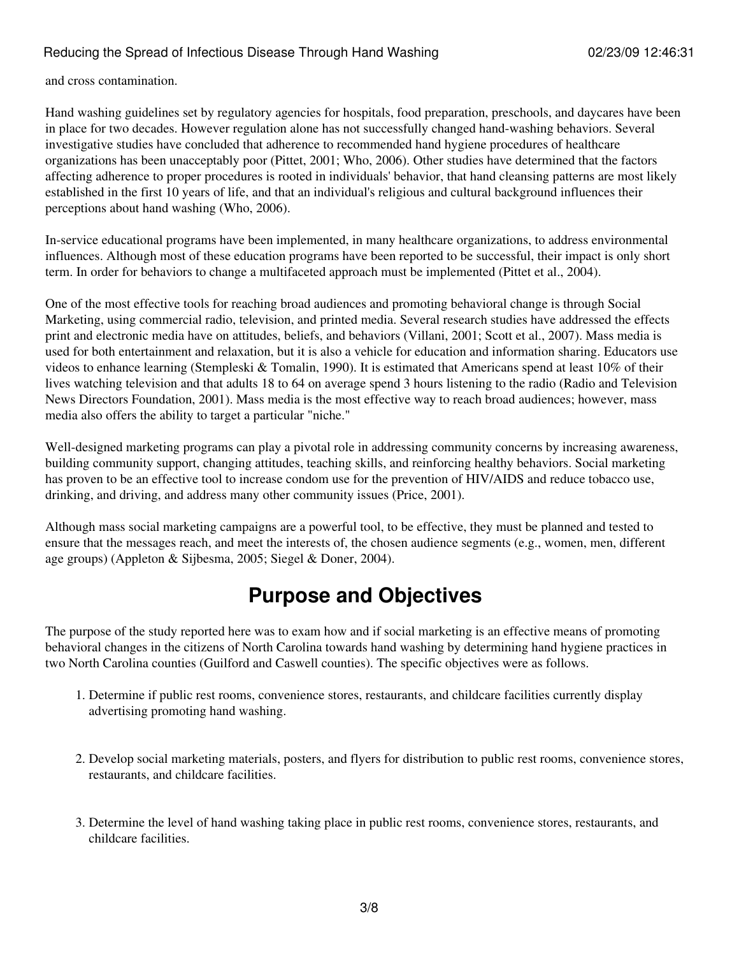#### Reducing the Spread of Infectious Disease Through Hand Washing 02/23/09 12:46:31

and cross contamination.

Hand washing guidelines set by regulatory agencies for hospitals, food preparation, preschools, and daycares have been in place for two decades. However regulation alone has not successfully changed hand-washing behaviors. Several investigative studies have concluded that adherence to recommended hand hygiene procedures of healthcare organizations has been unacceptably poor (Pittet, 2001; Who, 2006). Other studies have determined that the factors affecting adherence to proper procedures is rooted in individuals' behavior, that hand cleansing patterns are most likely established in the first 10 years of life, and that an individual's religious and cultural background influences their perceptions about hand washing (Who, 2006).

In-service educational programs have been implemented, in many healthcare organizations, to address environmental influences. Although most of these education programs have been reported to be successful, their impact is only short term. In order for behaviors to change a multifaceted approach must be implemented (Pittet et al., 2004).

One of the most effective tools for reaching broad audiences and promoting behavioral change is through Social Marketing, using commercial radio, television, and printed media. Several research studies have addressed the effects print and electronic media have on attitudes, beliefs, and behaviors (Villani, 2001; Scott et al., 2007). Mass media is used for both entertainment and relaxation, but it is also a vehicle for education and information sharing. Educators use videos to enhance learning (Stempleski & Tomalin, 1990). It is estimated that Americans spend at least 10% of their lives watching television and that adults 18 to 64 on average spend 3 hours listening to the radio (Radio and Television News Directors Foundation, 2001). Mass media is the most effective way to reach broad audiences; however, mass media also offers the ability to target a particular "niche."

Well-designed marketing programs can play a pivotal role in addressing community concerns by increasing awareness, building community support, changing attitudes, teaching skills, and reinforcing healthy behaviors. Social marketing has proven to be an effective tool to increase condom use for the prevention of HIV/AIDS and reduce tobacco use, drinking, and driving, and address many other community issues (Price, 2001).

Although mass social marketing campaigns are a powerful tool, to be effective, they must be planned and tested to ensure that the messages reach, and meet the interests of, the chosen audience segments (e.g., women, men, different age groups) (Appleton & Sijbesma, 2005; Siegel & Doner, 2004).

## **Purpose and Objectives**

The purpose of the study reported here was to exam how and if social marketing is an effective means of promoting behavioral changes in the citizens of North Carolina towards hand washing by determining hand hygiene practices in two North Carolina counties (Guilford and Caswell counties). The specific objectives were as follows.

- 1. Determine if public rest rooms, convenience stores, restaurants, and childcare facilities currently display advertising promoting hand washing.
- 2. Develop social marketing materials, posters, and flyers for distribution to public rest rooms, convenience stores, restaurants, and childcare facilities.
- Determine the level of hand washing taking place in public rest rooms, convenience stores, restaurants, and 3. childcare facilities.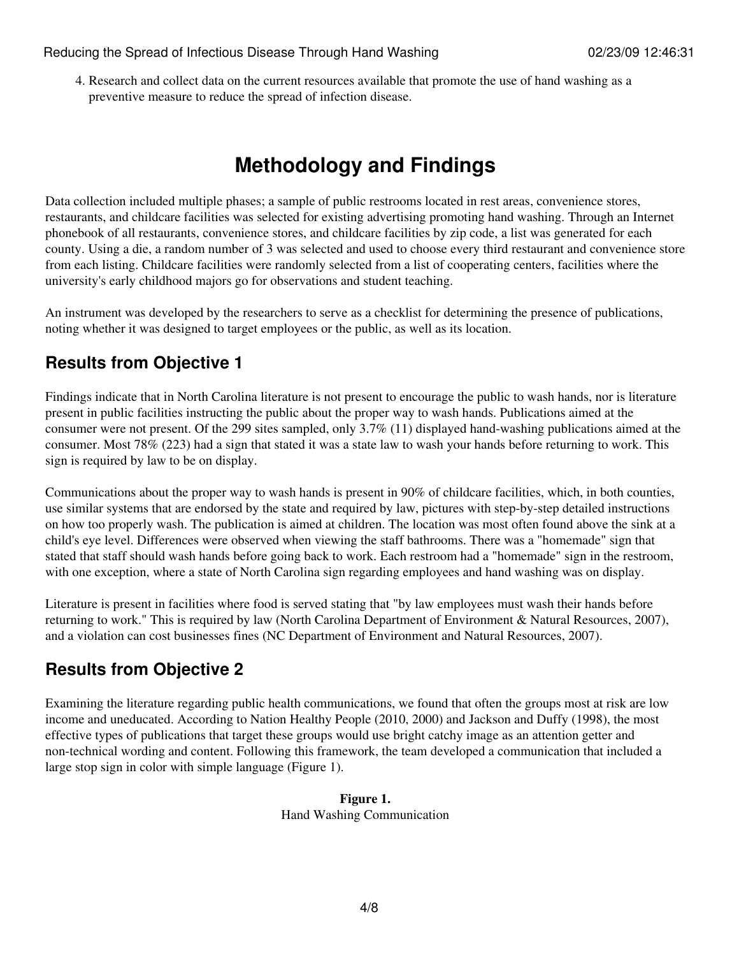4. Research and collect data on the current resources available that promote the use of hand washing as a preventive measure to reduce the spread of infection disease.

## **Methodology and Findings**

Data collection included multiple phases; a sample of public restrooms located in rest areas, convenience stores, restaurants, and childcare facilities was selected for existing advertising promoting hand washing. Through an Internet phonebook of all restaurants, convenience stores, and childcare facilities by zip code, a list was generated for each county. Using a die, a random number of 3 was selected and used to choose every third restaurant and convenience store from each listing. Childcare facilities were randomly selected from a list of cooperating centers, facilities where the university's early childhood majors go for observations and student teaching.

An instrument was developed by the researchers to serve as a checklist for determining the presence of publications, noting whether it was designed to target employees or the public, as well as its location.

### **Results from Objective 1**

Findings indicate that in North Carolina literature is not present to encourage the public to wash hands, nor is literature present in public facilities instructing the public about the proper way to wash hands. Publications aimed at the consumer were not present. Of the 299 sites sampled, only 3.7% (11) displayed hand-washing publications aimed at the consumer. Most 78% (223) had a sign that stated it was a state law to wash your hands before returning to work. This sign is required by law to be on display.

Communications about the proper way to wash hands is present in 90% of childcare facilities, which, in both counties, use similar systems that are endorsed by the state and required by law, pictures with step-by-step detailed instructions on how too properly wash. The publication is aimed at children. The location was most often found above the sink at a child's eye level. Differences were observed when viewing the staff bathrooms. There was a "homemade" sign that stated that staff should wash hands before going back to work. Each restroom had a "homemade" sign in the restroom, with one exception, where a state of North Carolina sign regarding employees and hand washing was on display.

Literature is present in facilities where food is served stating that "by law employees must wash their hands before returning to work." This is required by law (North Carolina Department of Environment & Natural Resources, 2007), and a violation can cost businesses fines (NC Department of Environment and Natural Resources, 2007).

### **Results from Objective 2**

Examining the literature regarding public health communications, we found that often the groups most at risk are low income and uneducated. According to Nation Healthy People (2010, 2000) and Jackson and Duffy (1998), the most effective types of publications that target these groups would use bright catchy image as an attention getter and non-technical wording and content. Following this framework, the team developed a communication that included a large stop sign in color with simple language (Figure 1).

#### **Figure 1.** Hand Washing Communication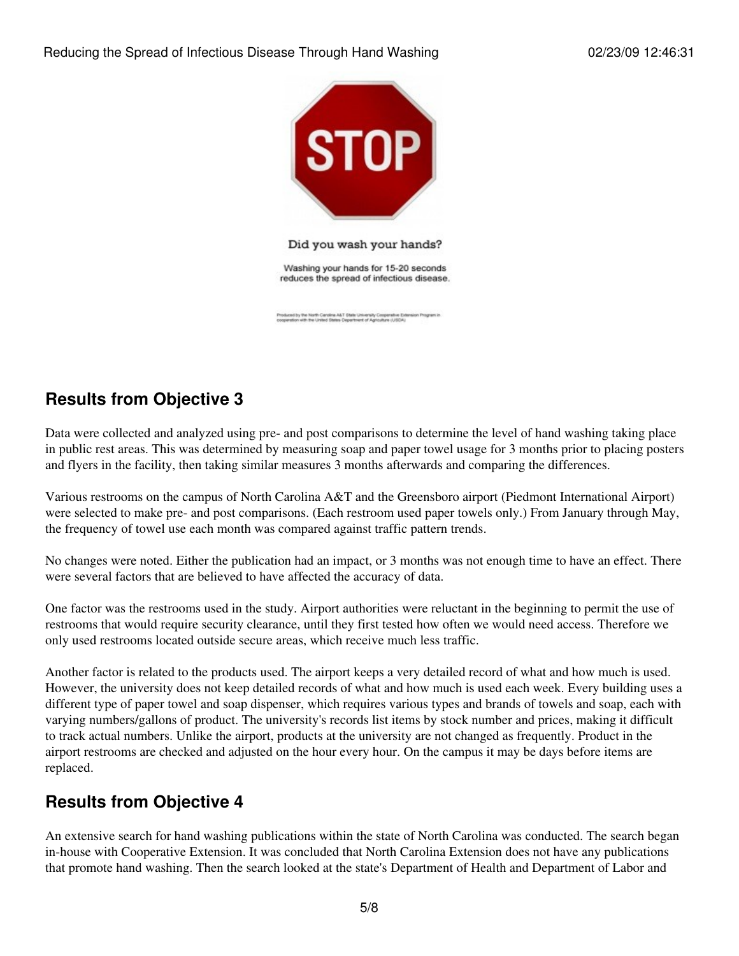

reduces the spread of infectious disease.

Produced by the North Canalina A&T State University Cooperative Extension Program in<br>cooperation with the United States Department of Agriculture (USDA)

### **Results from Objective 3**

Data were collected and analyzed using pre- and post comparisons to determine the level of hand washing taking place in public rest areas. This was determined by measuring soap and paper towel usage for 3 months prior to placing posters and flyers in the facility, then taking similar measures 3 months afterwards and comparing the differences.

Various restrooms on the campus of North Carolina A&T and the Greensboro airport (Piedmont International Airport) were selected to make pre- and post comparisons. (Each restroom used paper towels only.) From January through May, the frequency of towel use each month was compared against traffic pattern trends.

No changes were noted. Either the publication had an impact, or 3 months was not enough time to have an effect. There were several factors that are believed to have affected the accuracy of data.

One factor was the restrooms used in the study. Airport authorities were reluctant in the beginning to permit the use of restrooms that would require security clearance, until they first tested how often we would need access. Therefore we only used restrooms located outside secure areas, which receive much less traffic.

Another factor is related to the products used. The airport keeps a very detailed record of what and how much is used. However, the university does not keep detailed records of what and how much is used each week. Every building uses a different type of paper towel and soap dispenser, which requires various types and brands of towels and soap, each with varying numbers/gallons of product. The university's records list items by stock number and prices, making it difficult to track actual numbers. Unlike the airport, products at the university are not changed as frequently. Product in the airport restrooms are checked and adjusted on the hour every hour. On the campus it may be days before items are replaced.

### **Results from Objective 4**

An extensive search for hand washing publications within the state of North Carolina was conducted. The search began in-house with Cooperative Extension. It was concluded that North Carolina Extension does not have any publications that promote hand washing. Then the search looked at the state's Department of Health and Department of Labor and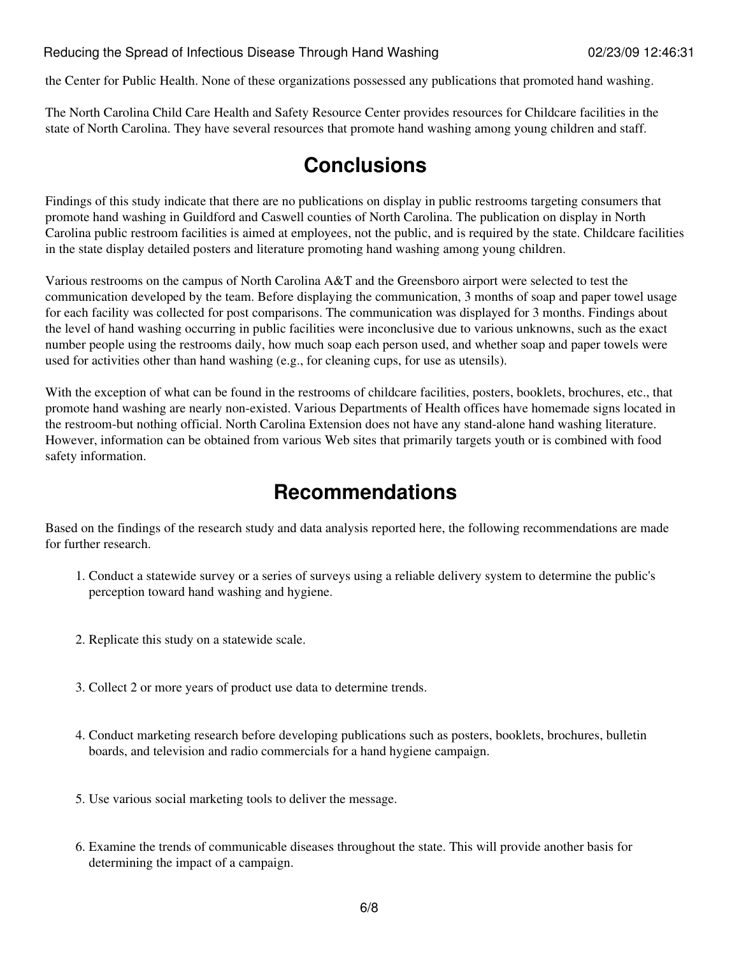the Center for Public Health. None of these organizations possessed any publications that promoted hand washing.

The North Carolina Child Care Health and Safety Resource Center provides resources for Childcare facilities in the state of North Carolina. They have several resources that promote hand washing among young children and staff.

### **Conclusions**

Findings of this study indicate that there are no publications on display in public restrooms targeting consumers that promote hand washing in Guildford and Caswell counties of North Carolina. The publication on display in North Carolina public restroom facilities is aimed at employees, not the public, and is required by the state. Childcare facilities in the state display detailed posters and literature promoting hand washing among young children.

Various restrooms on the campus of North Carolina A&T and the Greensboro airport were selected to test the communication developed by the team. Before displaying the communication, 3 months of soap and paper towel usage for each facility was collected for post comparisons. The communication was displayed for 3 months. Findings about the level of hand washing occurring in public facilities were inconclusive due to various unknowns, such as the exact number people using the restrooms daily, how much soap each person used, and whether soap and paper towels were used for activities other than hand washing (e.g., for cleaning cups, for use as utensils).

With the exception of what can be found in the restrooms of childcare facilities, posters, booklets, brochures, etc., that promote hand washing are nearly non-existed. Various Departments of Health offices have homemade signs located in the restroom-but nothing official. North Carolina Extension does not have any stand-alone hand washing literature. However, information can be obtained from various Web sites that primarily targets youth or is combined with food safety information.

### **Recommendations**

Based on the findings of the research study and data analysis reported here, the following recommendations are made for further research.

- Conduct a statewide survey or a series of surveys using a reliable delivery system to determine the public's 1. perception toward hand washing and hygiene.
- 2. Replicate this study on a statewide scale.
- 3. Collect 2 or more years of product use data to determine trends.
- 4. Conduct marketing research before developing publications such as posters, booklets, brochures, bulletin boards, and television and radio commercials for a hand hygiene campaign.
- 5. Use various social marketing tools to deliver the message.
- Examine the trends of communicable diseases throughout the state. This will provide another basis for 6. determining the impact of a campaign.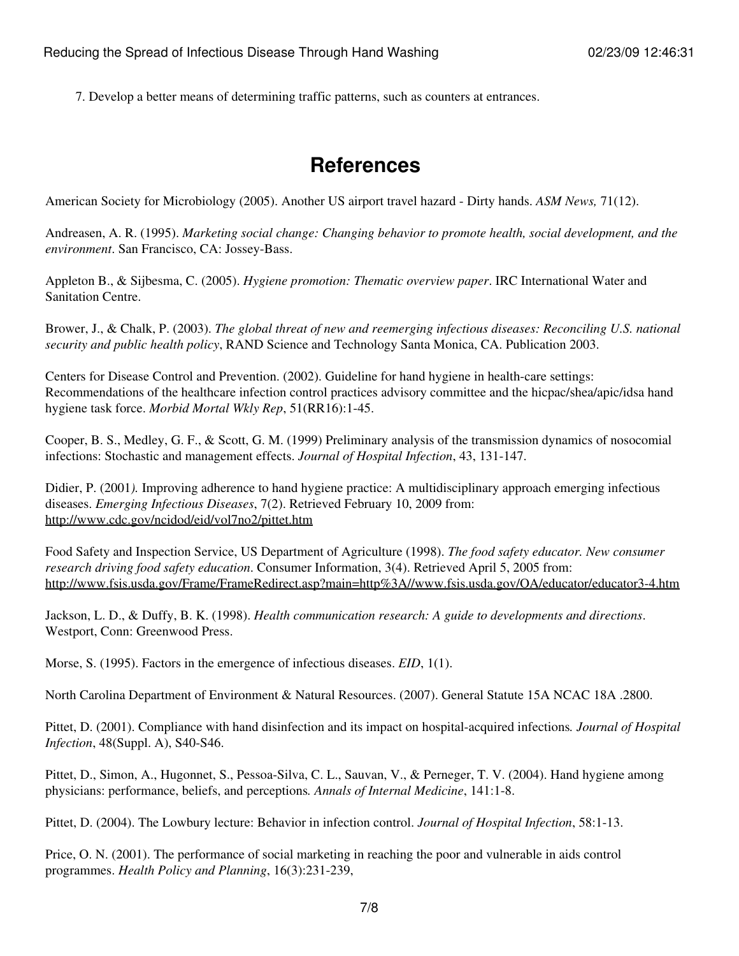7. Develop a better means of determining traffic patterns, such as counters at entrances.

### **References**

American Society for Microbiology (2005). Another US airport travel hazard - Dirty hands. *ASM News,* 71(12).

Andreasen, A. R. (1995). *Marketing social change: Changing behavior to promote health, social development, and the environment*. San Francisco, CA: Jossey-Bass.

Appleton B., & Sijbesma, C. (2005). *Hygiene promotion: Thematic overview paper*. IRC International Water and Sanitation Centre.

Brower, J., & Chalk, P. (2003). *The global threat of new and reemerging infectious diseases: Reconciling U.S. national security and public health policy*, RAND Science and Technology Santa Monica, CA. Publication 2003.

Centers for Disease Control and Prevention. (2002). Guideline for hand hygiene in health-care settings: Recommendations of the healthcare infection control practices advisory committee and the hicpac/shea/apic/idsa hand hygiene task force. *Morbid Mortal Wkly Rep*, 51(RR16):1-45.

Cooper, B. S., Medley, G. F., & Scott, G. M. (1999) Preliminary analysis of the transmission dynamics of nosocomial infections: Stochastic and management effects. *Journal of Hospital Infection*, 43, 131-147.

Didier, P. (2001*).* Improving adherence to hand hygiene practice: A multidisciplinary approach emerging infectious diseases. *Emerging Infectious Diseases*, 7(2). Retrieved February 10, 2009 from: <http://www.cdc.gov/ncidod/eid/vol7no2/pittet.htm>

Food Safety and Inspection Service, US Department of Agriculture (1998). *The food safety educator. New consumer research driving food safety education*. Consumer Information, 3(4). Retrieved April 5, 2005 from: <http://www.fsis.usda.gov/Frame/FrameRedirect.asp?main=http%3A//www.fsis.usda.gov/OA/educator/educator3-4.htm>

Jackson, L. D., & Duffy, B. K. (1998). *Health communication research: A guide to developments and directions*. Westport, Conn: Greenwood Press.

Morse, S. (1995). Factors in the emergence of infectious diseases. *EID*, 1(1).

North Carolina Department of Environment & Natural Resources. (2007). General Statute 15A NCAC 18A .2800.

Pittet, D. (2001). Compliance with hand disinfection and its impact on hospital-acquired infections*. Journal of Hospital Infection*, 48(Suppl. A), S40-S46.

Pittet, D., Simon, A., Hugonnet, S., Pessoa-Silva, C. L., Sauvan, V., & Perneger, T. V. (2004). Hand hygiene among physicians: performance, beliefs, and perceptions*. Annals of Internal Medicine*, 141:1-8.

Pittet, D. (2004). The Lowbury lecture: Behavior in infection control. *Journal of Hospital Infection*, 58:1-13.

Price, O. N. (2001). The performance of social marketing in reaching the poor and vulnerable in aids control programmes. *Health Policy and Planning*, 16(3):231-239,